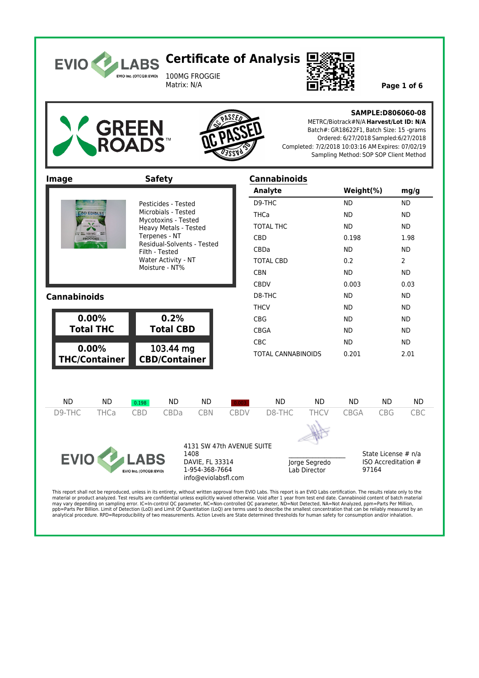

100MG FROGGIE<br>Matrix: N/A



Page 1 of 6





### **SAMPLE:D806060-08**

METRC/Biotrack#N/A **Harvest/Lot ID: N/A** Batch#: GR18622F1, Batch Size: 15 -grams Ordered: 6/27/2018 Sampled:6/27/2018 Completed: 7/2/2018 10:03:16 AM Expires: 07/02/19 Sampling Method: SOP SOP Client Method

| Image                                                     |                     |                                      | <b>Safety</b>                                                                                                 |                                                                                               |                  | <b>Cannabinoids</b>       |                                                                                                             |             |                                                     |            |
|-----------------------------------------------------------|---------------------|--------------------------------------|---------------------------------------------------------------------------------------------------------------|-----------------------------------------------------------------------------------------------|------------------|---------------------------|-------------------------------------------------------------------------------------------------------------|-------------|-----------------------------------------------------|------------|
|                                                           |                     |                                      |                                                                                                               |                                                                                               |                  | <b>Analyte</b>            |                                                                                                             | Weight(%)   |                                                     | mg/g       |
|                                                           | Pesticides - Tested |                                      |                                                                                                               |                                                                                               | D9-THC           |                           | <b>ND</b>                                                                                                   |             | <b>ND</b>                                           |            |
| <b>CBD EDIBLES</b><br>$= 100 M$ G<br><b>FROGGIES</b>      |                     |                                      | Microbials - Tested<br>Mycotoxins - Tested                                                                    |                                                                                               |                  | <b>THCa</b>               |                                                                                                             | <b>ND</b>   |                                                     | <b>ND</b>  |
|                                                           |                     |                                      | Heavy Metals - Tested<br>Terpenes - NT<br>Residual-Solvents - Tested<br>Filth - Tested<br>Water Activity - NT | <b>TOTAL THC</b>                                                                              |                  |                           | <b>ND</b>                                                                                                   |             | <b>ND</b>                                           |            |
|                                                           |                     |                                      |                                                                                                               |                                                                                               |                  | CBD                       |                                                                                                             | 0.198       |                                                     | 1.98       |
|                                                           |                     |                                      |                                                                                                               | CBDa                                                                                          |                  |                           | <b>ND</b>                                                                                                   |             | <b>ND</b>                                           |            |
|                                                           |                     |                                      |                                                                                                               |                                                                                               | <b>TOTAL CBD</b> |                           | 0.2                                                                                                         |             | $\overline{2}$                                      |            |
|                                                           |                     |                                      | Moisture - NT%                                                                                                |                                                                                               |                  | CBN                       |                                                                                                             | <b>ND</b>   |                                                     | <b>ND</b>  |
|                                                           |                     |                                      |                                                                                                               | <b>CBDV</b>                                                                                   |                  |                           | 0.003                                                                                                       |             | 0.03                                                |            |
| <b>Cannabinoids</b>                                       |                     |                                      |                                                                                                               |                                                                                               |                  | D8-THC                    |                                                                                                             | <b>ND</b>   |                                                     | <b>ND</b>  |
|                                                           |                     |                                      |                                                                                                               |                                                                                               |                  | <b>THCV</b>               |                                                                                                             | <b>ND</b>   |                                                     | <b>ND</b>  |
| 0.00%                                                     |                     |                                      | 0.2%                                                                                                          |                                                                                               |                  | <b>CBG</b>                |                                                                                                             | <b>ND</b>   |                                                     | <b>ND</b>  |
| <b>Total THC</b><br><b>Total CBD</b>                      |                     |                                      |                                                                                                               | <b>CBGA</b>                                                                                   |                  | <b>ND</b>                 |                                                                                                             | <b>ND</b>   |                                                     |            |
| 0.00%                                                     |                     |                                      |                                                                                                               |                                                                                               |                  | <b>CBC</b>                |                                                                                                             | <b>ND</b>   |                                                     | <b>ND</b>  |
| 103.44 mg<br><b>CBD/Container</b><br><b>THC/Container</b> |                     |                                      |                                                                                                               |                                                                                               |                  | <b>TOTAL CANNABINOIDS</b> |                                                                                                             | 0.201       |                                                     | 2.01       |
| <b>ND</b>                                                 | <b>ND</b>           | 0.198                                | <b>ND</b>                                                                                                     | <b>ND</b>                                                                                     | 0.003            | <b>ND</b>                 | <b>ND</b>                                                                                                   | <b>ND</b>   | <b>ND</b>                                           | <b>ND</b>  |
| D9-THC                                                    | <b>THCa</b>         | <b>CBD</b>                           | CBDa                                                                                                          | <b>CBN</b>                                                                                    | <b>CBDV</b>      | D8-THC                    | <b>THCV</b>                                                                                                 | <b>CBGA</b> | <b>CBG</b>                                          | <b>CBC</b> |
|                                                           |                     |                                      |                                                                                                               |                                                                                               |                  |                           |                                                                                                             |             |                                                     |            |
| <b>EVIO</b>                                               |                     | <b>ABS</b><br>EVIO Inc. (OTCQB:EVIO) |                                                                                                               | 4131 SW 47th AVENUE SUITE<br>1408<br>DAVIE, FL 33314<br>1-954-368-7664<br>info@eviolabsfl.com |                  | $T1100 + 1.5 = T111$      | Jorge Segredo<br>Lab Director<br>at to you FMA I also constituents or The production of the problems to the |             | State License # n/a<br>ISO Accreditation #<br>97164 |            |

This report shall not be reproduced, unless in its entirety, without written approval from EVIO Labs. This report is an EVIO Labs certification. The results relate only to the<br>material or product analyzed. Test results are may vary depending on sampling error. IC=In-control QC parameter, NC=Non-controlled QC parameter, ND=Not Detected, NA=Not Analyzed, ppm=Parts Per Million,<br>ppb=Parts Per Billion. Limit of Detection (LoD) and Limit Of Quanti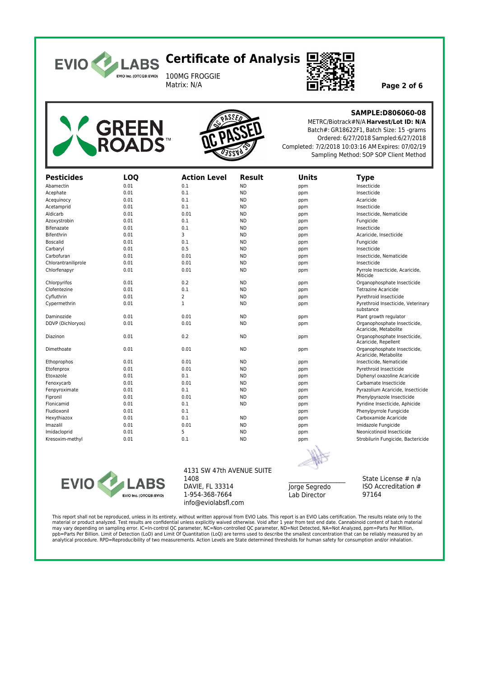

100MG FROGGIE<br>Matrix: N/A



Page 2 of 6





### **SAMPLE:D806060-08**

METRC/Biotrack#N/A **Harvest/Lot ID: N/A** Batch#: GR18622F1, Batch Size: 15 -grams Ordered: 6/27/2018 Sampled:6/27/2018 Completed: 7/2/2018 10:03:16 AM Expires: 07/02/19 Sampling Method: SOP SOP Client Method

| <b>Pesticides</b>   | <b>LOQ</b> | <b>Action Level</b> | Result    | <b>Units</b> | <b>Type</b>                                           |  |
|---------------------|------------|---------------------|-----------|--------------|-------------------------------------------------------|--|
| Abamectin           | 0.01       | 0.1                 | <b>ND</b> | ppm          | Insecticide                                           |  |
| Acephate            | 0.01       | 0.1                 | <b>ND</b> | ppm          | Insecticide                                           |  |
| Acequinocy          | 0.01       | 0.1                 | <b>ND</b> | ppm          | Acaricide                                             |  |
| Acetamprid          | 0.01       | 0.1                 | <b>ND</b> | ppm          | Insecticide                                           |  |
| Aldicarb            | 0.01       | 0.01                | <b>ND</b> | ppm          | Insecticide, Nematicide                               |  |
| Azoxystrobin        | 0.01       | 0.1                 | <b>ND</b> | ppm          | Fungicide                                             |  |
| Bifenazate          | 0.01       | 0.1                 | <b>ND</b> | ppm          | Insecticide                                           |  |
| Bifenthrin          | 0.01       | 3                   | <b>ND</b> | ppm          | Acaricide. Insecticide                                |  |
| Boscalid            | 0.01       | 0.1                 | <b>ND</b> | ppm          | Fungicide                                             |  |
| Carbaryl            | 0.01       | 0.5                 | <b>ND</b> | ppm          | Insecticide                                           |  |
| Carbofuran          | 0.01       | 0.01                | <b>ND</b> | ppm          | Insecticide, Nematicide                               |  |
| Chlorantraniliprole | 0.01       | 0.01                | <b>ND</b> | ppm          | Insecticide                                           |  |
| Chlorfenapyr        | 0.01       | 0.01                | <b>ND</b> | ppm          | Pyrrole Insecticide, Acaricide,<br>Miticide           |  |
| Chlorpyrifos        | 0.01       | 0.2                 | <b>ND</b> | ppm          | Organophosphate Insecticide                           |  |
| Clofentezine        | 0.01       | 0.1                 | <b>ND</b> | ppm          | <b>Tetrazine Acaricide</b>                            |  |
| Cyfluthrin          | 0.01       | 2                   | <b>ND</b> | ppm          | Pyrethroid Insecticide                                |  |
| Cypermethrin        | 0.01       | $\mathbf{1}$        | <b>ND</b> | ppm          | Pyrethroid Insecticide, Veterinary<br>substance       |  |
| Daminozide          | 0.01       | 0.01                | <b>ND</b> | ppm          | Plant growth regulator                                |  |
| DDVP (Dichloryos)   | 0.01       | 0.01                | <b>ND</b> | ppm          | Organophosphate Insecticide,<br>Acaricide, Metabolite |  |
| Diazinon            | 0.01       | 0.2                 | <b>ND</b> | ppm          | Organophosphate Insecticide,<br>Acaricide, Repellent  |  |
| Dimethoate          | 0.01       | 0.01                | <b>ND</b> | ppm          | Organophosphate Insecticide,<br>Acaricide, Metabolite |  |
| Ethoprophos         | 0.01       | 0.01                | <b>ND</b> | ppm          | Insecticide, Nematicide                               |  |
| Etofenprox          | 0.01       | 0.01                | <b>ND</b> | ppm          | Pyrethroid Insecticide                                |  |
| Etoxazole           | 0.01       | 0.1                 | <b>ND</b> | ppm          | Diphenyl oxazoline Acaricide                          |  |
| Fenoxycarb          | 0.01       | 0.01                | <b>ND</b> | ppm          | Carbamate Insecticide                                 |  |
| Fenpyroximate       | 0.01       | 0.1                 | <b>ND</b> | ppm          | Pyrazolium Acaricide, Insecticide                     |  |
| Fipronil            | 0.01       | 0.01                | <b>ND</b> | ppm          | Phenylpyrazole Insecticide                            |  |
| Flonicamid          | 0.01       | 0.1                 | <b>ND</b> | ppm          | Pyridine Insecticide, Aphicide                        |  |
| Fludioxonil         | 0.01       | 0.1                 |           | ppm          | Phenylpyrrole Fungicide                               |  |
| Hexythiazox         | 0.01       | 0.1                 | <b>ND</b> | ppm          | Carboxamide Acaricide                                 |  |
| Imazalil            | 0.01       | 0.01                | <b>ND</b> | ppm          | Imidazole Fungicide                                   |  |
| Imidacloprid        | 0.01       | 5                   | <b>ND</b> | ppm          | Neonicotinoid Insecticide                             |  |
| Kresoxim-methyl     | 0.01       | 0.1                 | <b>ND</b> | ppm          | Strobilurin Fungicide, Bactericide                    |  |



#### 4131 SW 47th AVENUE SUITE 1408 DAVIE, FL 33314 1-954-368-7664 info@eviolabsfl.com

Jorge Segredo Lab Director

State License # n/a ISO Accreditation # 97164

This report shall not be reproduced, unless in its entirety, without written approval from EVIO Labs. This report is an EVIO Labs certification. The results relate only to the material or product analyzed. Test results are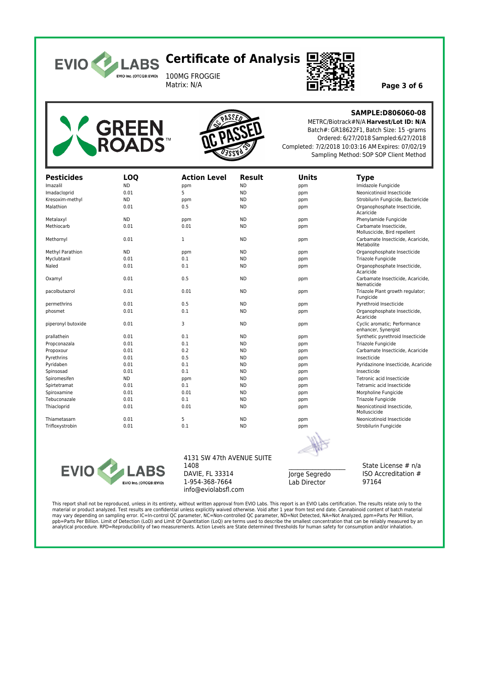

100MG FROGGIE<br>Matrix: N/A



Page 3 of 6





**SAMPLE:D806060-08**

METRC/Biotrack#N/A **Harvest/Lot ID: N/A** Batch#: GR18622F1, Batch Size: 15 -grams Ordered: 6/27/2018 Sampled:6/27/2018 Completed: 7/2/2018 10:03:16 AM Expires: 07/02/19 Sampling Method: SOP SOP Client Method

| <b>Pesticides</b>  | <b>LOQ</b> | <b>Action Level</b> | <b>Result</b> | <b>Units</b> | <b>Type</b>                                            |  |
|--------------------|------------|---------------------|---------------|--------------|--------------------------------------------------------|--|
| Imazalil           | <b>ND</b>  | ppm                 | <b>ND</b>     | ppm          | Imidazole Fungicide                                    |  |
| Imadacloprid       | 0.01       | 5                   | <b>ND</b>     | ppm          | Neonicotinoid Insecticide                              |  |
| Kresoxim-methyl    | <b>ND</b>  | ppm                 | <b>ND</b>     | ppm          | Strobilurin Fungicide, Bactericide                     |  |
| Malathion          | 0.01       | 0.5                 | <b>ND</b>     | ppm          | Organophosphate Insecticide,<br>Acaricide              |  |
| Metalaxyl          | <b>ND</b>  | ppm                 | <b>ND</b>     | ppm          | Phenylamide Fungicide                                  |  |
| Methiocarb         | 0.01       | 0.01                | <b>ND</b>     | ppm          | Carbamate Insecticide.<br>Molluscicide, Bird repellent |  |
| Methornyl          | 0.01       | 1                   | <b>ND</b>     | ppm          | Carbamate Insecticide, Acaricide,<br>Metabolite        |  |
| Methyl Parathion   | <b>ND</b>  | ppm                 | <b>ND</b>     | ppm          | Organophosphate Insecticide                            |  |
| Myclubtanil        | 0.01       | 0.1                 | <b>ND</b>     | ppm          | Triazole Fungicide                                     |  |
| Naled              | 0.01       | 0.1                 | <b>ND</b>     | ppm          | Organophosphate Insecticide,<br>Acaricide              |  |
| Oxamyl             | 0.01       | 0.5                 | <b>ND</b>     | ppm          | Carbamate Insecticide, Acaricide,<br>Nematicide        |  |
| pacolbutazrol      | 0.01       | 0.01                | <b>ND</b>     | ppm          | Triazole Plant growth regulator;<br>Fungicide          |  |
| permethrins        | 0.01       | 0.5                 | <b>ND</b>     | ppm          | Pyrethroid Insecticide                                 |  |
| phosmet            | 0.01       | 0.1                 | <b>ND</b>     | ppm          | Organophosphate Insecticide,<br>Acaricide              |  |
| piperonyl butoxide | 0.01       | 3                   | <b>ND</b>     | ppm          | Cyclic aromatic; Performance<br>enhancer, Synergist    |  |
| prallathein        | 0.01       | 0.1                 | <b>ND</b>     | ppm          | Synthetic pyrethroid Insecticide                       |  |
| Propconazala       | 0.01       | 0.1                 | <b>ND</b>     | ppm          | Triazole Fungicide                                     |  |
| Propoxour          | 0.01       | 0.2                 | <b>ND</b>     | ppm          | Carbamate Insecticide, Acaricide                       |  |
| Pyrethrins         | 0.01       | 0.5                 | <b>ND</b>     | ppm          | Insecticide                                            |  |
| Pyridaben          | 0.01       | 0.1                 | <b>ND</b>     | ppm          | Pyridazinone Insecticide, Acaricide                    |  |
| Spinsosad          | 0.01       | 0.1                 | <b>ND</b>     | ppm          | Insecticide                                            |  |
| Spiromesifen       | <b>ND</b>  | ppm                 | <b>ND</b>     | ppm          | Tetronic acid Insecticide                              |  |
| Spirtetramat       | 0.01       | 0.1                 | <b>ND</b>     | ppm          | Tetramic acid Insecticide                              |  |
| Spiroxamine        | 0.01       | 0.01                | <b>ND</b>     | ppm          | Morpholine Fungicide                                   |  |
| Tebuconazale       | 0.01       | 0.1                 | <b>ND</b>     | ppm          | Triazole Fungicide                                     |  |
| Thiacloprid        | 0.01       | 0.01                | <b>ND</b>     | ppm          | Neonicotinoid Insecticide,<br>Molluscicide             |  |
| Thiametasarn       | 0.01       | 5                   | <b>ND</b>     | ppm          | Neonicotinoid Insecticide                              |  |
| Trifloxystrobin    | 0.01       | 0.1                 | <b>ND</b>     | ppm          | Strobilurin Fungicide                                  |  |



4131 SW 47th AVENUE SUITE 1408 DAVIE, FL 33314 1-954-368-7664 info@eviolabsfl.com

 $\mathcal{L}=\mathcal{L}$ Jorge Segredo Lab Director

State License # n/a ISO Accreditation # 97164

This report shall not be reproduced, unless in its entirety, without written approval from EVIO Labs. This report is an EVIO Labs certification. The results relate only to the material or product analyzed. Test results are confidential unless explicitly waived otherwise. Void after 1 year from test end date. Cannabinoid content of batch material<br>may vary depending on sampling error. IC=In-contro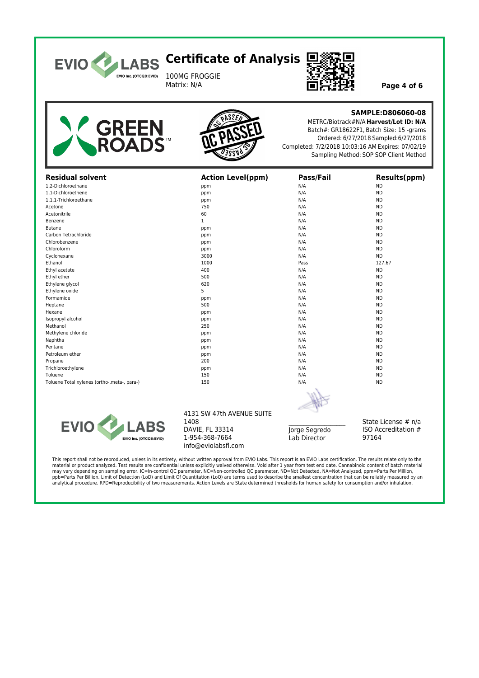

100MG FROGGIE<br>Matrix: N/A



Page 4 of 6





### **SAMPLE:D806060-08**

METRC/Biotrack#N/A **Harvest/Lot ID: N/A** Batch#: GR18622F1, Batch Size: 15 -grams Ordered: 6/27/2018 Sampled:6/27/2018 Completed: 7/2/2018 10:03:16 AM Expires: 07/02/19 Sampling Method: SOP SOP Client Method

| <b>Residual solvent</b>                      | <b>Action Level(ppm)</b>  | Pass/Fail | <b>Results(ppm)</b> |  |
|----------------------------------------------|---------------------------|-----------|---------------------|--|
| 1,2-Dichloroethane                           | ppm                       | N/A       | <b>ND</b>           |  |
| 1,1-Dichloroethene                           | ppm                       | N/A       | <b>ND</b>           |  |
| 1,1,1-Trichloroethane                        | ppm                       | N/A       | <b>ND</b>           |  |
| Acetone                                      | 750                       | N/A       | <b>ND</b>           |  |
| Acetonitrile                                 | 60                        | N/A       | <b>ND</b>           |  |
| Benzene                                      | $\mathbf{1}$              | N/A       | <b>ND</b>           |  |
| <b>Butane</b>                                | ppm                       | N/A       | <b>ND</b>           |  |
| Carbon Tetrachloride                         | ppm                       | N/A       | <b>ND</b>           |  |
| Chlorobenzene                                | ppm                       | N/A       | <b>ND</b>           |  |
| Chloroform                                   | ppm                       | N/A       | <b>ND</b>           |  |
| Cyclohexane                                  | 3000                      | N/A       | <b>ND</b>           |  |
| Ethanol                                      | 1000                      | Pass      | 127.67              |  |
| Ethyl acetate                                | 400                       | N/A       | <b>ND</b>           |  |
| Ethyl ether                                  | 500                       | N/A       | <b>ND</b>           |  |
| Ethylene glycol                              | 620                       | N/A       | <b>ND</b>           |  |
| Ethylene oxide                               | 5                         | N/A       | <b>ND</b>           |  |
| Formamide                                    | ppm                       | N/A       | <b>ND</b>           |  |
| Heptane                                      | 500                       | N/A       | <b>ND</b>           |  |
| Hexane                                       | ppm                       | N/A       | <b>ND</b>           |  |
| Isopropyl alcohol                            | ppm                       | N/A       | <b>ND</b>           |  |
| Methanol                                     | 250                       | N/A       | <b>ND</b>           |  |
| Methylene chloride                           | ppm                       | N/A       | <b>ND</b>           |  |
| Naphtha                                      | ppm                       | N/A       | <b>ND</b>           |  |
| Pentane                                      | ppm                       | N/A       | <b>ND</b>           |  |
| Petroleum ether                              | ppm                       | N/A       | <b>ND</b>           |  |
| Propane                                      | 200                       | N/A       | <b>ND</b>           |  |
| Trichloroethylene                            | ppm                       | N/A       | <b>ND</b>           |  |
| Toluene                                      | 150                       | N/A       | <b>ND</b>           |  |
| Toluene Total xylenes (ortho-, meta-, para-) | 150                       | N/A       | <b>ND</b>           |  |
|                                              |                           |           |                     |  |
| <b>ALC</b>                                   | 4131 SW 47th AVENUE SUITE |           |                     |  |



#### 4131 SW 47th AVENUE SUITE 1408 DAVIE, FL 33314 1-954-368-7664 info@eviolabsfl.com

| Jorge Segredo |  |
|---------------|--|
| Lab Director  |  |

State License # n/a ISO Accreditation # 97164

This report shall not be reproduced, unless in its entirety, without written approval from EVIO Labs. This report is an EVIO Labs certification. The results relate only to the material or product analyzed. Test results are confidential unless explicitly waived otherwise. Void after 1 year from test end date. Cannabinoid content of batch material may vary depending on sampling error. IC=In-control QC parameter, NC=Non-controlled QC parameter, ND=Not Detected, NA=Not Analyzed, ppm=Parts Per Million,<br>ppb=Parts Per Billion. Limit of Detection (LoD) and Limit Of Quanti analytical procedure. RPD=Reproducibility of two measurements. Action Levels are State determined thresholds for human safety for consumption and/or inhalation.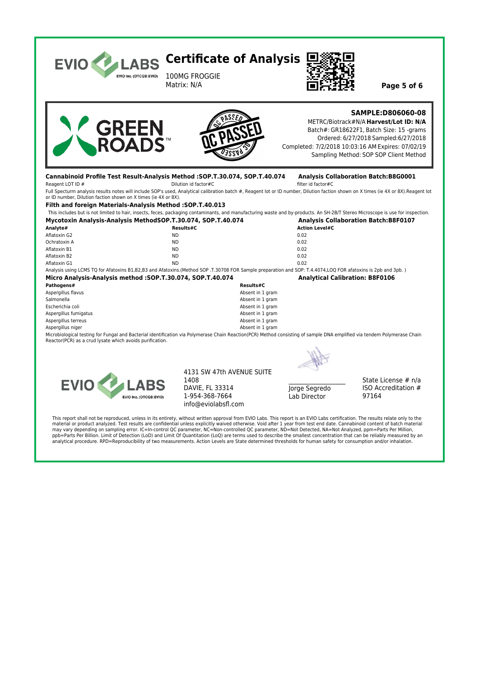

This report shall not be reproduced, unless in its entirety, without written approval from EVIO Labs. This report is an EVIO Labs certification. The results relate only to the material or product analyzed. Test results are confidential unless explicitly waived otherwise. Void after 1 year from test end date. Cannabinoid content of batch material<br>may vary depending on sampling error. IC=In-contr ppb=Parts Per Billion. Limit of Detection (LoD) and Limit Of Quantitation (LoQ) are terms used to describe the smallest concentration that can be reliably measured by an analytical procedure. RPD=Reproducibility of two measurements. Action Levels are State determined thresholds for human safety for consumption and/or inhalation.